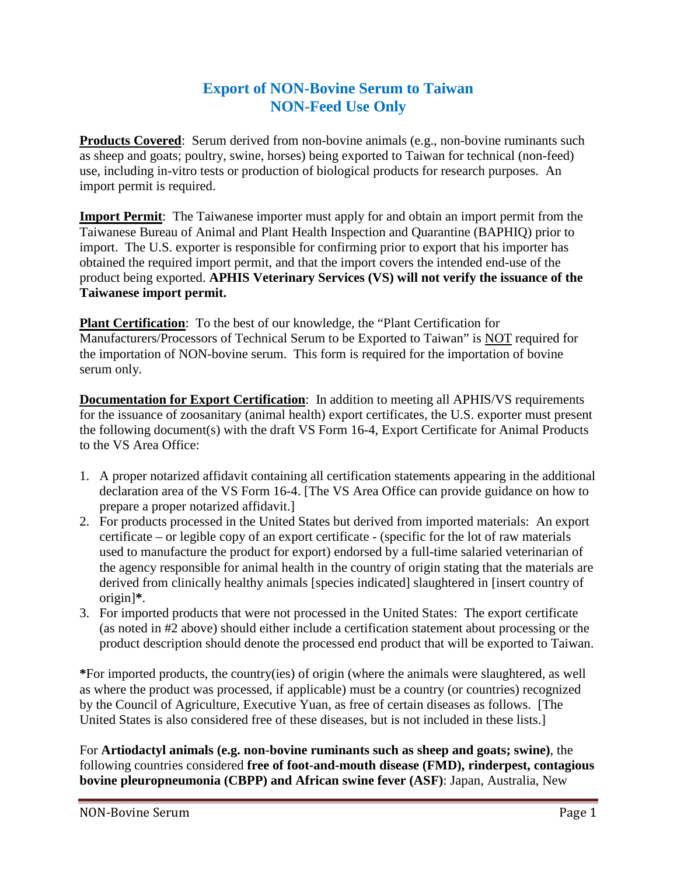## **Export of NON-Bovine Serum to Taiwan NON-Feed Use Only**

**Products Covered:** Serum derived from non-bovine animals (e.g., non-bovine ruminants such as sheep and goats; poultry, swine, horses) being exported to Taiwan for technical (non-feed) use, including in-vitro tests or production of biological products for research purposes. An import permit is required.

**Import Permit:** The Taiwanese importer must apply for and obtain an import permit from the Taiwanese Bureau of Animal and Plant Health Inspection and Quarantine (BAPHIQ) prior to import. The U.S. exporter is responsible for confirming prior to export that his importer has obtained the required import permit, and that the import covers the intended end-use of the product being exported. **APHIS Veterinary Services (VS) will not verify the issuance of the Taiwanese import permit.**

**Plant Certification**: To the best of our knowledge, the "Plant Certification for Manufacturers/Processors of Technical Serum to be Exported to Taiwan" is NOT required for the importation of NON-bovine serum. This form is required for the importation of bovine serum only.

**Documentation for Export Certification**: In addition to meeting all APHIS/VS requirements for the issuance of zoosanitary (animal health) export certificates, the U.S. exporter must present the following document(s) with the draft VS Form 16-4, Export Certificate for Animal Products to the VS Area Office:

- 1. A proper notarized affidavit containing all certification statements appearing in the additional declaration area of the VS Form 16-4. [The VS Area Office can provide guidance on how to prepare a proper notarized affidavit.]
- 2. For products processed in the United States but derived from imported materials: An export certificate – or legible copy of an export certificate - (specific for the lot of raw materials used to manufacture the product for export) endorsed by a full-time salaried veterinarian of the agency responsible for animal health in the country of origin stating that the materials are derived from clinically healthy animals [species indicated] slaughtered in [insert country of origin]**\***.
- 3. For imported products that were not processed in the United States: The export certificate (as noted in #2 above) should either include a certification statement about processing or the product description should denote the processed end product that will be exported to Taiwan.

**\***For imported products, the country(ies) of origin (where the animals were slaughtered, as well as where the product was processed, if applicable) must be a country (or countries) recognized by the Council of Agriculture, Executive Yuan, as free of certain diseases as follows. [The United States is also considered free of these diseases, but is not included in these lists.]

For **Artiodactyl animals (e.g. non-bovine ruminants such as sheep and goats; swine)**, the following countries considered **free of foot-and-mouth disease (FMD), rinderpest, contagious bovine pleuropneumonia (CBPP) and African swine fever (ASF)**: Japan, Australia, New